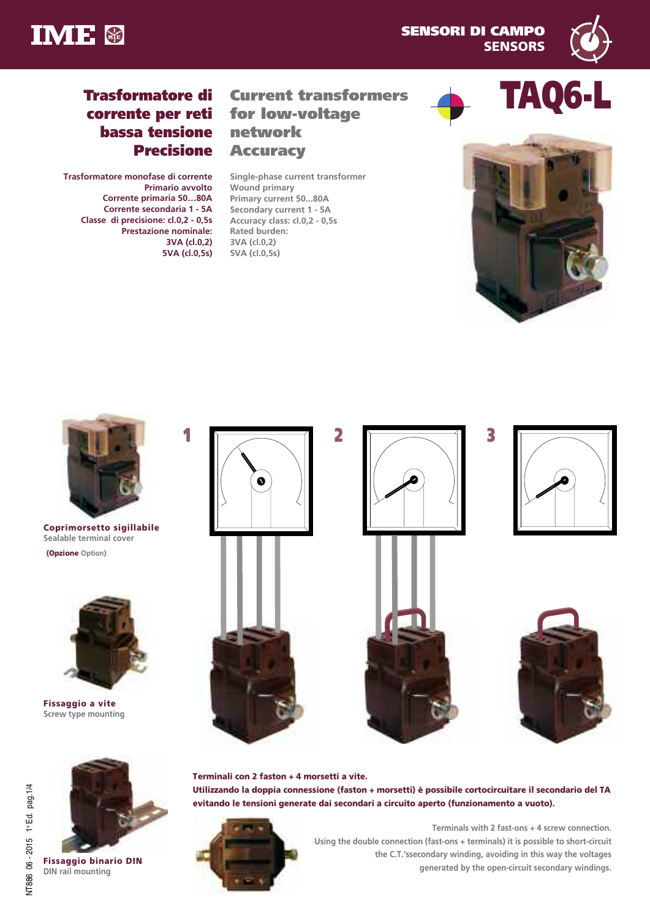



**TAQ6-L**

# **Trasformatore di corrente per reti bassa tensione Precisione**

**Trasformatore monofase di corrente Primario avvolto Corrente primaria 50…80A Corrente secondaria 1 - 5A Classe di precisione: cl.0,2 - 0,5s Prestazione nominale: 3VA (cl.0,2) 5VA (cl.0,5s)**

## **Current transformers for low-voltage network Accuracy**

**Single-phase current transformer Wound primary Primary current 50...80A Secondary current 1 - 5A Accuracy class: cl.0,2 - 0,5s Rated burden: 3VA (cl.0,2) 5VA (cl.0,5s)**





**Coprimorsetto sigillabile Sealable terminal cover (Opzione Option)**



**Fissaggio a vite Screw type mounting**















**Terminali con 2 faston + 4 morsetti a vite. Utilizzando la doppia connessione (faston + morsetti) è possibile cortocircuitare il secondario del TA evitando le tensioni generate dai secondari a circuito aperto (funzionamento a vuoto).**



**Terminals with 2 fast-ons + 4 screw connection. Using the double connection (fast-ons + terminals) it is possible to short-circuit the C.T.'ssecondary winding, avoiding in this way the voltages generated by the open-circuit secondary windings.**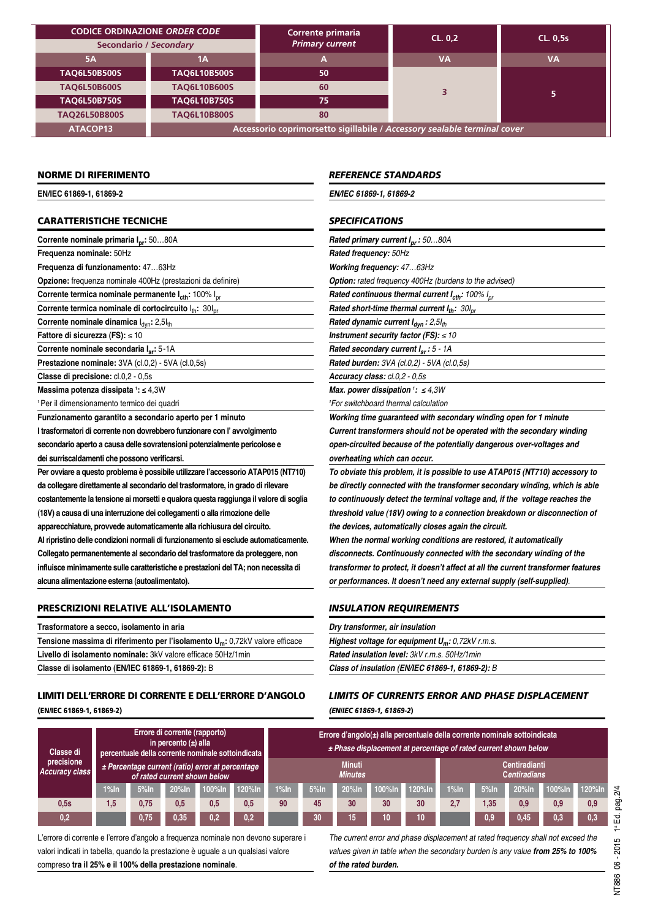|                      | <b>CODICE ORDINAZIONE ORDER CODE</b><br><b>Secondario / Secondary</b>    | Corrente primaria<br><b>Primary current</b> | CL. 0.2 | <b>CL. 0,5s</b> |  |  |  |  |
|----------------------|--------------------------------------------------------------------------|---------------------------------------------|---------|-----------------|--|--|--|--|
|                      |                                                                          |                                             |         |                 |  |  |  |  |
| 5A                   | 1Α                                                                       |                                             | VA      | VA              |  |  |  |  |
| <b>TAQ6L50B500S</b>  | <b>TAQ6L10B500S</b>                                                      | 50                                          |         |                 |  |  |  |  |
| <b>TAQ6L50B600S</b>  | <b>TAQ6L10B600S</b>                                                      | 60                                          |         | 5.              |  |  |  |  |
| <b>TAQ6L50B750S</b>  | <b>TAQ6L10B750S</b>                                                      | 75                                          |         |                 |  |  |  |  |
| <b>TAQ26L50B800S</b> | <b>TAQ6L10B800S</b>                                                      | 80                                          |         |                 |  |  |  |  |
| ATACOP13             | Accessorio coprimorsetto sigillabile / Accessory sealable terminal cover |                                             |         |                 |  |  |  |  |

### **NORME DI RIFERIMENTO**

**EN/IEC 61869-1, 61869-2**

### **CARATTERISTICHE TECNICHE**

**Corrente nominale primaria Ipr:** 50…80A

**Frequenza nominale:** 50Hz

**Frequenza di funzionamento:** 47…63Hz

**Opzione:** frequenza nominale 400Hz (prestazioni da definire)

**Corrente termica nominale permanente**  $I_{\text{cth}}$ **: 100%**  $I_{\text{or}}$ 

**Corrente termica nominale di cortocircuito**  $I_{th}$ : 30 $I_{pr}$ 

**Corrente nominale dinamica**  $I_{dyn}$ : 2,5 $I_{th}$ 

**Fattore di sicurezza (FS):** ≤ 10

**Corrente nominale secondaria Isr:** 5-1A

**Prestazione nominale:** 3VA (cl.0,2) - 5VA (cl.0,5s)

**Classe di precisione:** cl.0,2 - 0,5s

**Massima potenza dissipata <sup>1</sup> :** ≤ 4,3W

**<sup>1</sup>**Per il dimensionamento termico dei quadri

**Funzionamento garantito a secondario aperto per 1 minuto I trasformatori di corrente non dovrebbero funzionare con l' avvolgimento secondario aperto a causa delle sovratensioni potenzialmente pericolose e dei surriscaldamenti che possono verificarsi.**

**Per ovviare a questo problema è possibile utilizzare l'accessorio ATAP015 (NT710) da collegare direttamente al secondario del trasformatore, in grado di rilevare costantemente la tensione ai morsetti e qualora questa raggiunga il valore di soglia (18V) a causa di una interruzione dei collegamenti o alla rimozione delle apparecchiature, provvede automaticamente alla richiusura del circuito. Al ripristino delle condizioni normali di funzionamento si esclude automaticamente. Collegato permanentemente al secondario del trasformatore da proteggere, non influisce minimamente sulle caratteristiche e prestazioni del TA; non necessita di alcuna alimentazione esterna (autoalimentato).**

### **PRESCRIZIONI RELATIVE ALL'ISOLAMENTO**

| Trasformatore a secco, isolamento in aria                                                |  |  |  |  |  |  |  |  |
|------------------------------------------------------------------------------------------|--|--|--|--|--|--|--|--|
| Tensione massima di riferimento per l'isolamento U <sub>m</sub> : 0,72kV valore efficace |  |  |  |  |  |  |  |  |
| Livello di isolamento nominale: 3kV valore efficace 50Hz/1min                            |  |  |  |  |  |  |  |  |
| Classe di isolamento (EN/IEC 61869-1, 61869-2): B                                        |  |  |  |  |  |  |  |  |

## **LIMITI DELL'ERRORE DI CORRENTE E DELL'ERRORE D'ANGOLO**

**(EN/IEC 61869-1, 61869-2)**

### *REFERENCE STANDARDS*

*EN/IEC 61869-1, 61869-2*

### *SPECIFICATIONS*

*Rated primary current Ipr : 50…80A Rated frequency: 50Hz Working frequency: 47…63Hz Option: rated frequency 400Hz (burdens to the advised)*

*Rated continuous thermal current*  $I_{\text{cth}}$ : 100%  $I_{\text{pr}}$ 

*Rated short-time thermal current*  $I_{th}$ : 30I<sub>pr</sub>

*Rated dynamic current Idyn : 2,5Ith*

*Instrument security factor (FS): ≤ 10*

*Rated secondary current Isr : 5 - 1A*

*Rated burden: 3VA (cl.0,2) - 5VA (cl.0,5s) Accuracy class: cl.0,2 - 0,5s*

*Max. power dissipation <sup>1</sup> : ≤ 4,3W 1 For switchboard thermal calculation*

*Working time guaranteed with secondary winding open for 1 minute Current transformers should not be operated with the secondary winding open-circuited because of the potentially dangerous over-voltages and overheating which can occur.*

*To obviate this problem, it is possible to use ATAP015 (NT710) accessory to be directly connected with the transformer secondary winding, which is able to continuously detect the terminal voltage and, if the voltage reaches the threshold value (18V) owing to a connection breakdown or disconnection of the devices, automatically closes again the circuit.*

*When the normal working conditions are restored, it automatically disconnects. Continuously connected with the secondary winding of the transformer to protect, it doesn't affect at all the current transformer features or performances. It doesn't need any external supply (self-supplied).*

### *INSULATION REQUIREMENTS*

| Dry transformer, air insulation                                      |  |
|----------------------------------------------------------------------|--|
| <b>Highest voltage for equipment <math>U_m</math>:</b> 0,72kV r.m.s. |  |
| <b>Rated insulation level: 3kV r.m.s. 50Hz/1min</b>                  |  |
| Class of insulation (EN/IEC 61869-1, 61869-2): B                     |  |

### *LIMITS OF CURRENTS ERROR AND PHASE DISPLACEMENT (EN/IEC 61869-1, 61869-2***)**

| Classe di<br>precisione<br><b>Accuracy class</b> | Errore di corrente (rapporto)<br>in percento $(\pm)$ alla<br>percentuale della corrente nominale sottoindicata<br>± Percentage current (ratio) error at percentage<br>of rated current shown below |         |          | Errore d'angolo(±) alla percentuale della corrente nominale sottoindicata<br>± Phase displacement at percentage of rated current shown below |        |         |         |                                             |        |        |         |         |          |        |        |
|--------------------------------------------------|----------------------------------------------------------------------------------------------------------------------------------------------------------------------------------------------------|---------|----------|----------------------------------------------------------------------------------------------------------------------------------------------|--------|---------|---------|---------------------------------------------|--------|--------|---------|---------|----------|--------|--------|
|                                                  |                                                                                                                                                                                                    |         |          | <b>Minuti</b><br><b>Minutes</b>                                                                                                              |        |         |         | <b>Centiradianti</b><br><b>Centiradians</b> |        |        |         |         |          |        |        |
|                                                  | $1%$ In                                                                                                                                                                                            | $5%$ In | $20%$ In | $100\%$ In                                                                                                                                   | 120%In | $1%$ In | $5%$ In | $20%$ In                                    | 100%In | 120%In | $1%$ In | $5%$ In | $20%$ In | 100%In | 120%In |
| 0.5s                                             | 1,5                                                                                                                                                                                                | 0,75    | 0.5      | 0,5                                                                                                                                          | 0,5    | 90      | 45      | 30                                          | 30     | 30     | 2,7     | 1.35    | 0.9      | 0.9    | 0,9    |
| 0,2                                              |                                                                                                                                                                                                    | 0,75    | 0,35     | 0,2                                                                                                                                          | 0,2    |         | 30      | 15,                                         | 10     | 10     |         | 0.9     | 0,45     | 0,3    | 0,3    |

L'errore di corrente e l'errore d'angolo a frequenza nominale non devono superare i valori indicati in tabella, quando la prestazione è uguale a un qualsiasi valore compreso **tra il 25% e il 100% della prestazione nominale**.

*The current error and phase displacement at rated frequency shall not exceed the values given in table when the secondary burden is any value from 25% to 100% of the rated burden.*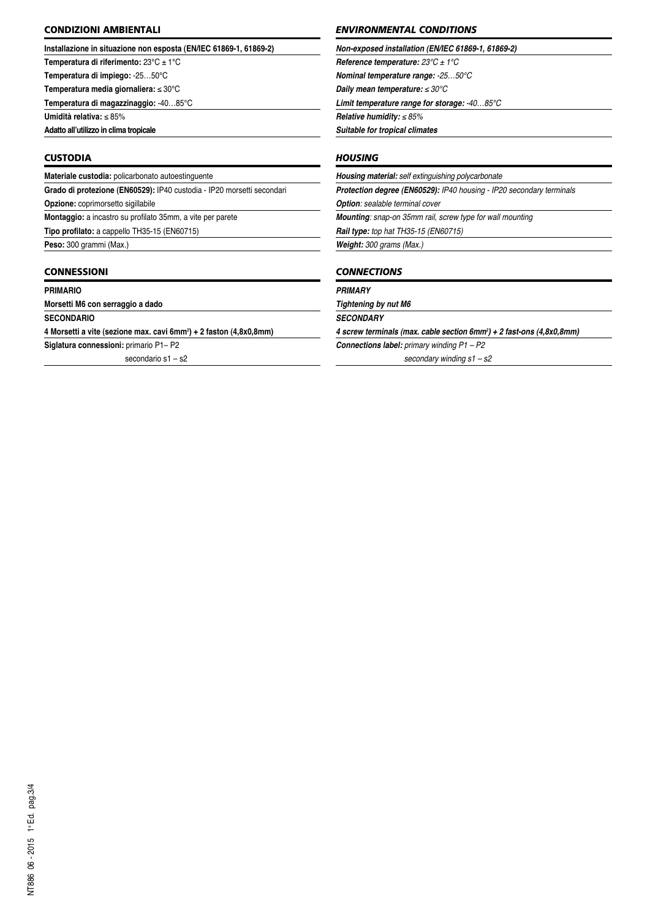### **CONDIZIONI AMBIENTALI**

#### **Installazione in situazione non esposta (EN/IEC 61869-1, 61869-2)**

**Temperatura di riferimento:** 23°C ± 1°C

**Temperatura di impiego:** -25…50°C

**Temperatura media giornaliera:** ≤ 30°C **Temperatura di magazzinaggio:** -40…85°C

**Umidità relativa:** ≤ 85%

**Adatto all'utilizzo in clima tropicale**

### **CUSTODIA**

**Materiale custodia:** policarbonato autoestinguente **Grado di protezione (EN60529):** IP40 custodia - IP20 morsetti secondari **Opzione:** coprimorsetto sigillabile **Montaggio:** a incastro su profilato 35mm, a vite per parete

**Tipo profilato:** a cappello TH35-15 (EN60715)

**Peso:** 300 grammi (Max.)

### **CONNESSIONI**

#### **PrIMArIO**

**Morsetti M6 con serraggio a dado**

**SECONdArIO**

**4 Morsetti a vite (sezione max. cavi 6mm2 ) + 2 faston (4,8x0,8mm)**

**Siglatura connessioni:** primario P1– P2

secondario s1 – s2

### *ENVIRONMENTAL CONDITIONS*

*Non-exposed installation (EN/IEC 61869-1, 61869-2)*

*Reference temperature: 23°C ± 1°C Nominal temperature range: -25…50°C*

*Daily mean temperature: ≤ 30°C*

*Limit temperature range for storage: -40…85°C*

*Relative humidity: ≤ 85%*

*Suitable for tropical climates*

### *HOUSING*

*Housing material: self extinguishing polycarbonate*

*Protection degree (EN60529): IP40 housing - IP20 secondary terminals Option: sealable terminal cover*

*Mounting: snap-on 35mm rail, screw type for wall mounting*

*Rail type: top hat TH35-15 (EN60715) Weight: 300 grams (Max.)*

### *CONNECTIONS*

#### *PRIMARy*

*Tightening by nut M6*

*SECONDARy*

*4 screw terminals (max. cable section 6mm2 ) + 2 fast-ons (4,8x0,8mm)*

*Connections label: primary winding P1 – P2 secondary winding s1 – s2*